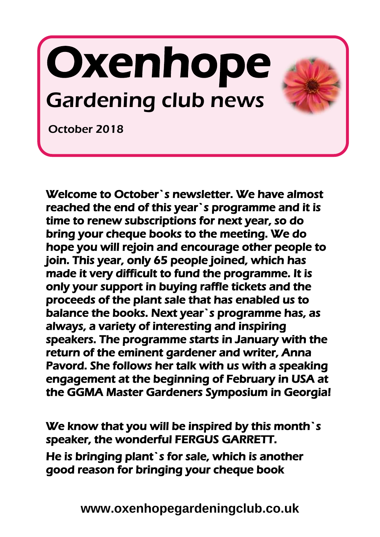# Oxenhope Gardening club news



October 2018

I

Welcome to October`s newsletter. We have almost reached the end of this year`s programme and it is time to renew subscriptions for next year, so do bring your cheque books to the meeting. We do hope you will rejoin and encourage other people to join. This year, only 65 people joined, which has made it very difficult to fund the programme. It is only your support in buying raffle tickets and the proceeds of the plant sale that has enabled us to balance the books. Next year`s programme has, as always, a variety of interesting and inspiring speakers. The programme starts in January with the return of the eminent gardener and writer, Anna Pavord. She follows her talk with us with a speaking engagement at the beginning of February in USA at the GGMA Master Gardeners Symposium in Georgia!

We know that you will be inspired by this month's speaker, the wonderful FERGUS GARRETT. He is bringing plant`s for sale, which is another good reason for bringing your cheque book